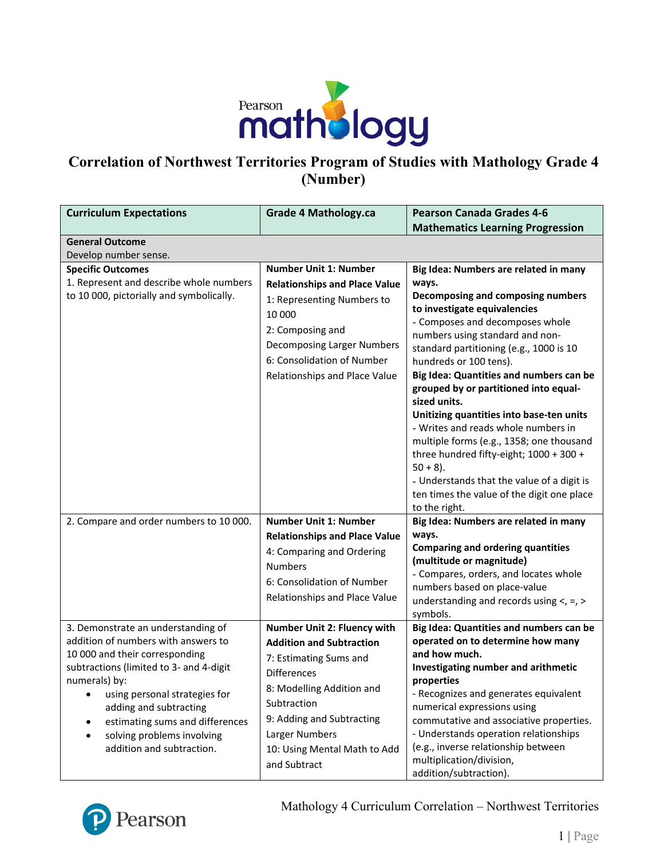

# **Correlation of Northwest Territories Program of Studies with Mathology Grade 4 (Number)**

| <b>Curriculum Expectations</b>           | <b>Grade 4 Mathology.ca</b>          | <b>Pearson Canada Grades 4-6</b>                    |
|------------------------------------------|--------------------------------------|-----------------------------------------------------|
|                                          |                                      | <b>Mathematics Learning Progression</b>             |
| <b>General Outcome</b>                   |                                      |                                                     |
| Develop number sense.                    |                                      |                                                     |
| <b>Specific Outcomes</b>                 | <b>Number Unit 1: Number</b>         | Big Idea: Numbers are related in many               |
| 1. Represent and describe whole numbers  | <b>Relationships and Place Value</b> | ways.                                               |
| to 10 000, pictorially and symbolically. | 1: Representing Numbers to           | Decomposing and composing numbers                   |
|                                          | 10 000                               | to investigate equivalencies                        |
|                                          | 2: Composing and                     | - Composes and decomposes whole                     |
|                                          |                                      | numbers using standard and non-                     |
|                                          | Decomposing Larger Numbers           | standard partitioning (e.g., 1000 is 10             |
|                                          | 6: Consolidation of Number           | hundreds or 100 tens).                              |
|                                          | Relationships and Place Value        | Big Idea: Quantities and numbers can be             |
|                                          |                                      | grouped by or partitioned into equal-               |
|                                          |                                      | sized units.                                        |
|                                          |                                      | Unitizing quantities into base-ten units            |
|                                          |                                      | - Writes and reads whole numbers in                 |
|                                          |                                      | multiple forms (e.g., 1358; one thousand            |
|                                          |                                      | three hundred fifty-eight; 1000 + 300 +             |
|                                          |                                      | $50 + 8$ ).                                         |
|                                          |                                      | - Understands that the value of a digit is          |
|                                          |                                      | ten times the value of the digit one place          |
|                                          |                                      | to the right.                                       |
| 2. Compare and order numbers to 10 000.  | <b>Number Unit 1: Number</b>         | Big Idea: Numbers are related in many               |
|                                          | <b>Relationships and Place Value</b> | ways.                                               |
|                                          | 4: Comparing and Ordering            | <b>Comparing and ordering quantities</b>            |
|                                          | <b>Numbers</b>                       | (multitude or magnitude)                            |
|                                          | 6: Consolidation of Number           | - Compares, orders, and locates whole               |
|                                          | Relationships and Place Value        | numbers based on place-value                        |
|                                          |                                      | understanding and records using $\lt$ , =, >        |
| 3. Demonstrate an understanding of       | Number Unit 2: Fluency with          | symbols.<br>Big Idea: Quantities and numbers can be |
| addition of numbers with answers to      | <b>Addition and Subtraction</b>      | operated on to determine how many                   |
| 10 000 and their corresponding           |                                      | and how much.                                       |
| subtractions (limited to 3- and 4-digit  | 7: Estimating Sums and               | Investigating number and arithmetic                 |
| numerals) by:                            | <b>Differences</b>                   | properties                                          |
| using personal strategies for            | 8: Modelling Addition and            | - Recognizes and generates equivalent               |
| adding and subtracting                   | Subtraction                          | numerical expressions using                         |
| estimating sums and differences          | 9: Adding and Subtracting            | commutative and associative properties.             |
| solving problems involving               | Larger Numbers                       | - Understands operation relationships               |
| addition and subtraction.                | 10: Using Mental Math to Add         | (e.g., inverse relationship between                 |
|                                          | and Subtract                         | multiplication/division,                            |
|                                          |                                      | addition/subtraction).                              |

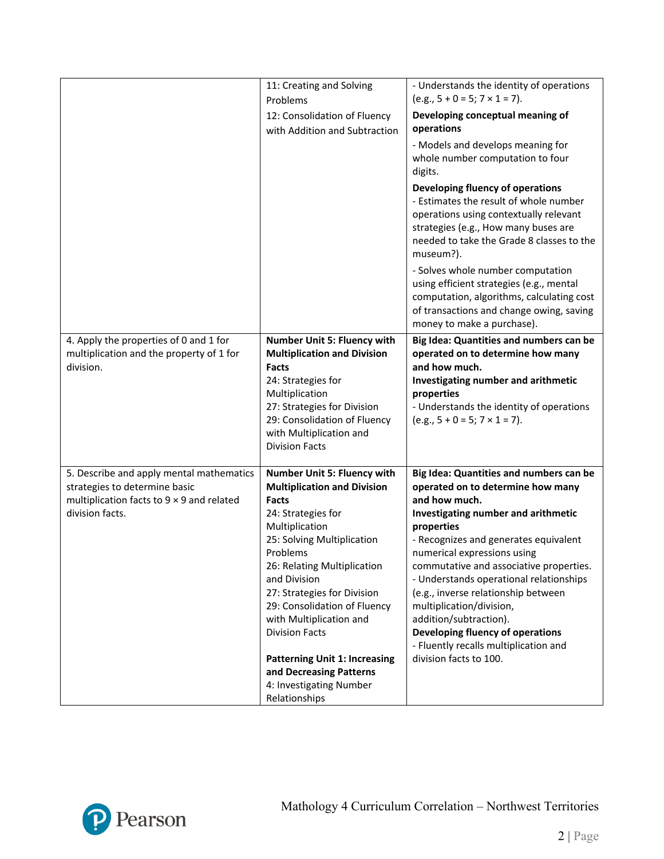|                                                                                                                                           | 11: Creating and Solving<br>Problems<br>12: Consolidation of Fluency<br>with Addition and Subtraction                                                                                                                                                                                                                                                                                                                                         | - Understands the identity of operations<br>$(e.g., 5 + 0 = 5; 7 \times 1 = 7).$<br>Developing conceptual meaning of<br>operations<br>- Models and develops meaning for<br>whole number computation to four<br>digits.<br>Developing fluency of operations<br>- Estimates the result of whole number<br>operations using contextually relevant<br>strategies (e.g., How many buses are<br>needed to take the Grade 8 classes to the<br>museum?).<br>- Solves whole number computation<br>using efficient strategies (e.g., mental<br>computation, algorithms, calculating cost<br>of transactions and change owing, saving |
|-------------------------------------------------------------------------------------------------------------------------------------------|-----------------------------------------------------------------------------------------------------------------------------------------------------------------------------------------------------------------------------------------------------------------------------------------------------------------------------------------------------------------------------------------------------------------------------------------------|----------------------------------------------------------------------------------------------------------------------------------------------------------------------------------------------------------------------------------------------------------------------------------------------------------------------------------------------------------------------------------------------------------------------------------------------------------------------------------------------------------------------------------------------------------------------------------------------------------------------------|
| 4. Apply the properties of 0 and 1 for<br>multiplication and the property of 1 for<br>division.                                           | Number Unit 5: Fluency with<br><b>Multiplication and Division</b><br><b>Facts</b><br>24: Strategies for<br>Multiplication<br>27: Strategies for Division<br>29: Consolidation of Fluency<br>with Multiplication and<br><b>Division Facts</b>                                                                                                                                                                                                  | money to make a purchase).<br>Big Idea: Quantities and numbers can be<br>operated on to determine how many<br>and how much.<br>Investigating number and arithmetic<br>properties<br>- Understands the identity of operations<br>$(e.g., 5 + 0 = 5; 7 \times 1 = 7).$                                                                                                                                                                                                                                                                                                                                                       |
| 5. Describe and apply mental mathematics<br>strategies to determine basic<br>multiplication facts to 9 x 9 and related<br>division facts. | Number Unit 5: Fluency with<br><b>Multiplication and Division</b><br>Facts<br>24: Strategies for<br>Multiplication<br>25: Solving Multiplication<br>Problems<br>26: Relating Multiplication<br>and Division<br>27: Strategies for Division<br>29: Consolidation of Fluency<br>with Multiplication and<br><b>Division Facts</b><br><b>Patterning Unit 1: Increasing</b><br>and Decreasing Patterns<br>4: Investigating Number<br>Relationships | Big Idea: Quantities and numbers can be<br>operated on to determine how many<br>and how much.<br>Investigating number and arithmetic<br>properties<br>- Recognizes and generates equivalent<br>numerical expressions using<br>commutative and associative properties.<br>- Understands operational relationships<br>(e.g., inverse relationship between<br>multiplication/division,<br>addition/subtraction).<br>Developing fluency of operations<br>- Fluently recalls multiplication and<br>division facts to 100.                                                                                                       |

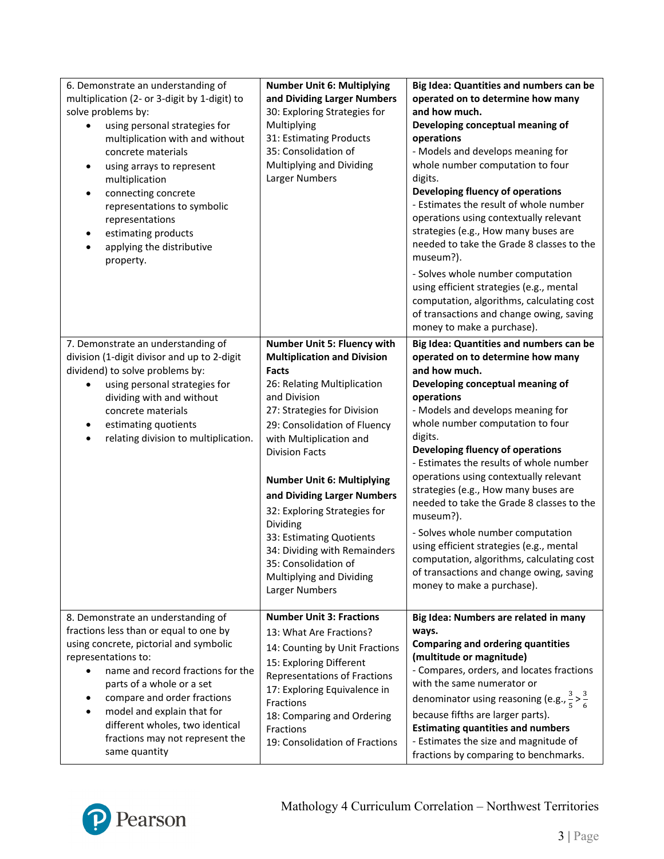| 6. Demonstrate an understanding of<br>multiplication (2- or 3-digit by 1-digit) to<br>solve problems by:<br>using personal strategies for<br>multiplication with and without<br>concrete materials<br>using arrays to represent<br>$\bullet$<br>multiplication<br>connecting concrete<br>representations to symbolic<br>representations<br>estimating products<br>applying the distributive<br>property. | <b>Number Unit 6: Multiplying</b><br>and Dividing Larger Numbers<br>30: Exploring Strategies for<br>Multiplying<br>31: Estimating Products<br>35: Consolidation of<br>Multiplying and Dividing<br>Larger Numbers                                                                                                                                                                                                                                                                                      | Big Idea: Quantities and numbers can be<br>operated on to determine how many<br>and how much.<br>Developing conceptual meaning of<br>operations<br>- Models and develops meaning for<br>whole number computation to four<br>digits.<br>Developing fluency of operations<br>- Estimates the result of whole number<br>operations using contextually relevant<br>strategies (e.g., How many buses are<br>needed to take the Grade 8 classes to the<br>museum?).<br>- Solves whole number computation                                                                                                                                                                     |
|----------------------------------------------------------------------------------------------------------------------------------------------------------------------------------------------------------------------------------------------------------------------------------------------------------------------------------------------------------------------------------------------------------|-------------------------------------------------------------------------------------------------------------------------------------------------------------------------------------------------------------------------------------------------------------------------------------------------------------------------------------------------------------------------------------------------------------------------------------------------------------------------------------------------------|------------------------------------------------------------------------------------------------------------------------------------------------------------------------------------------------------------------------------------------------------------------------------------------------------------------------------------------------------------------------------------------------------------------------------------------------------------------------------------------------------------------------------------------------------------------------------------------------------------------------------------------------------------------------|
|                                                                                                                                                                                                                                                                                                                                                                                                          |                                                                                                                                                                                                                                                                                                                                                                                                                                                                                                       | using efficient strategies (e.g., mental<br>computation, algorithms, calculating cost<br>of transactions and change owing, saving<br>money to make a purchase).                                                                                                                                                                                                                                                                                                                                                                                                                                                                                                        |
| 7. Demonstrate an understanding of<br>division (1-digit divisor and up to 2-digit<br>dividend) to solve problems by:<br>using personal strategies for<br>dividing with and without<br>concrete materials<br>estimating quotients<br>relating division to multiplication.                                                                                                                                 | Number Unit 5: Fluency with<br><b>Multiplication and Division</b><br><b>Facts</b><br>26: Relating Multiplication<br>and Division<br>27: Strategies for Division<br>29: Consolidation of Fluency<br>with Multiplication and<br><b>Division Facts</b><br><b>Number Unit 6: Multiplying</b><br>and Dividing Larger Numbers<br>32: Exploring Strategies for<br>Dividing<br>33: Estimating Quotients<br>34: Dividing with Remainders<br>35: Consolidation of<br>Multiplying and Dividing<br>Larger Numbers | Big Idea: Quantities and numbers can be<br>operated on to determine how many<br>and how much.<br>Developing conceptual meaning of<br>operations<br>- Models and develops meaning for<br>whole number computation to four<br>digits.<br>Developing fluency of operations<br>- Estimates the results of whole number<br>operations using contextually relevant<br>strategies (e.g., How many buses are<br>needed to take the Grade 8 classes to the<br>museum?).<br>- Solves whole number computation<br>using efficient strategies (e.g., mental<br>computation, algorithms, calculating cost<br>of transactions and change owing, saving<br>money to make a purchase). |
| 8. Demonstrate an understanding of<br>fractions less than or equal to one by<br>using concrete, pictorial and symbolic<br>representations to:<br>name and record fractions for the<br>parts of a whole or a set<br>compare and order fractions<br>model and explain that for<br>different wholes, two identical<br>fractions may not represent the<br>same quantity                                      | <b>Number Unit 3: Fractions</b><br>13: What Are Fractions?<br>14: Counting by Unit Fractions<br>15: Exploring Different<br>Representations of Fractions<br>17: Exploring Equivalence in<br>Fractions<br>18: Comparing and Ordering<br>Fractions<br>19: Consolidation of Fractions                                                                                                                                                                                                                     | Big Idea: Numbers are related in many<br>ways.<br><b>Comparing and ordering quantities</b><br>(multitude or magnitude)<br>- Compares, orders, and locates fractions<br>with the same numerator or<br>denominator using reasoning (e.g., $\frac{3}{5} > \frac{3}{6}$<br>because fifths are larger parts).<br><b>Estimating quantities and numbers</b><br>- Estimates the size and magnitude of<br>fractions by comparing to benchmarks.                                                                                                                                                                                                                                 |

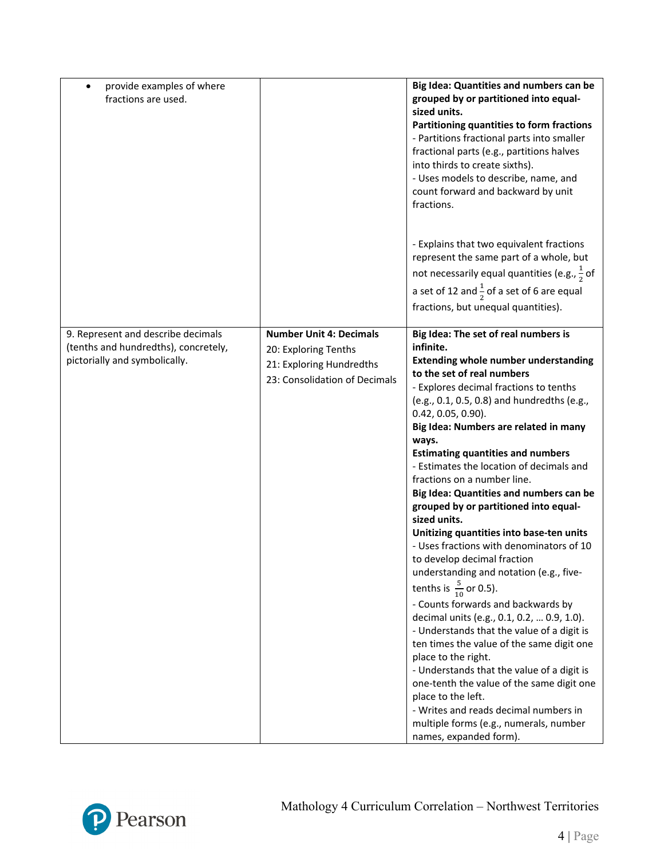| provide examples of where<br>fractions are used.                                                            |                                                                                                                     | Big Idea: Quantities and numbers can be<br>grouped by or partitioned into equal-<br>sized units.<br>Partitioning quantities to form fractions<br>- Partitions fractional parts into smaller<br>fractional parts (e.g., partitions halves<br>into thirds to create sixths).<br>- Uses models to describe, name, and<br>count forward and backward by unit<br>fractions.                                                                                                                                                                                                                                                                                                                                                                                                                                                                                                                                                                                                                                                                                                                                                                                                   |
|-------------------------------------------------------------------------------------------------------------|---------------------------------------------------------------------------------------------------------------------|--------------------------------------------------------------------------------------------------------------------------------------------------------------------------------------------------------------------------------------------------------------------------------------------------------------------------------------------------------------------------------------------------------------------------------------------------------------------------------------------------------------------------------------------------------------------------------------------------------------------------------------------------------------------------------------------------------------------------------------------------------------------------------------------------------------------------------------------------------------------------------------------------------------------------------------------------------------------------------------------------------------------------------------------------------------------------------------------------------------------------------------------------------------------------|
|                                                                                                             |                                                                                                                     | - Explains that two equivalent fractions<br>represent the same part of a whole, but<br>not necessarily equal quantities (e.g., $\frac{1}{2}$ of<br>a set of 12 and $\frac{1}{2}$ of a set of 6 are equal<br>fractions, but unequal quantities).                                                                                                                                                                                                                                                                                                                                                                                                                                                                                                                                                                                                                                                                                                                                                                                                                                                                                                                          |
| 9. Represent and describe decimals<br>(tenths and hundredths), concretely,<br>pictorially and symbolically. | <b>Number Unit 4: Decimals</b><br>20: Exploring Tenths<br>21: Exploring Hundredths<br>23: Consolidation of Decimals | Big Idea: The set of real numbers is<br>infinite.<br><b>Extending whole number understanding</b><br>to the set of real numbers<br>- Explores decimal fractions to tenths<br>(e.g., 0.1, 0.5, 0.8) and hundredths (e.g.,<br>$0.42, 0.05, 0.90$ ).<br>Big Idea: Numbers are related in many<br>ways.<br><b>Estimating quantities and numbers</b><br>- Estimates the location of decimals and<br>fractions on a number line.<br>Big Idea: Quantities and numbers can be<br>grouped by or partitioned into equal-<br>sized units.<br>Unitizing quantities into base-ten units<br>- Uses fractions with denominators of 10<br>to develop decimal fraction<br>understanding and notation (e.g., five-<br>tenths is $\frac{5}{10}$ or 0.5).<br>- Counts forwards and backwards by<br>decimal units (e.g., 0.1, 0.2,  0.9, 1.0).<br>- Understands that the value of a digit is<br>ten times the value of the same digit one<br>place to the right.<br>- Understands that the value of a digit is<br>one-tenth the value of the same digit one<br>place to the left.<br>- Writes and reads decimal numbers in<br>multiple forms (e.g., numerals, number<br>names, expanded form). |

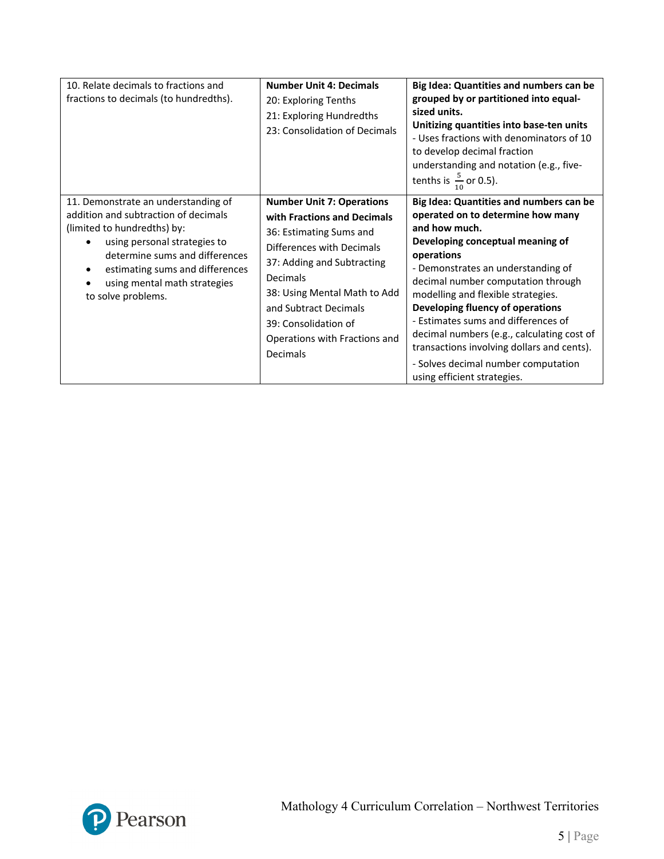| 10. Relate decimals to fractions and<br>fractions to decimals (to hundredths).                                                                                                                                                                                        | <b>Number Unit 4: Decimals</b><br>20: Exploring Tenths<br>21: Exploring Hundredths<br>23: Consolidation of Decimals                                                                                                                                                                             | Big Idea: Quantities and numbers can be<br>grouped by or partitioned into equal-<br>sized units.<br>Unitizing quantities into base-ten units<br>- Uses fractions with denominators of 10<br>to develop decimal fraction<br>understanding and notation (e.g., five-<br>tenths is $\frac{5}{10}$ or 0.5).                                                                                                                                                                                                        |
|-----------------------------------------------------------------------------------------------------------------------------------------------------------------------------------------------------------------------------------------------------------------------|-------------------------------------------------------------------------------------------------------------------------------------------------------------------------------------------------------------------------------------------------------------------------------------------------|----------------------------------------------------------------------------------------------------------------------------------------------------------------------------------------------------------------------------------------------------------------------------------------------------------------------------------------------------------------------------------------------------------------------------------------------------------------------------------------------------------------|
| 11. Demonstrate an understanding of<br>addition and subtraction of decimals<br>(limited to hundredths) by:<br>using personal strategies to<br>determine sums and differences<br>estimating sums and differences<br>using mental math strategies<br>to solve problems. | <b>Number Unit 7: Operations</b><br>with Fractions and Decimals<br>36: Estimating Sums and<br>Differences with Decimals<br>37: Adding and Subtracting<br>Decimals<br>38: Using Mental Math to Add<br>and Subtract Decimals<br>39: Consolidation of<br>Operations with Fractions and<br>Decimals | Big Idea: Quantities and numbers can be<br>operated on to determine how many<br>and how much.<br>Developing conceptual meaning of<br>operations<br>- Demonstrates an understanding of<br>decimal number computation through<br>modelling and flexible strategies.<br>Developing fluency of operations<br>- Estimates sums and differences of<br>decimal numbers (e.g., calculating cost of<br>transactions involving dollars and cents).<br>- Solves decimal number computation<br>using efficient strategies. |

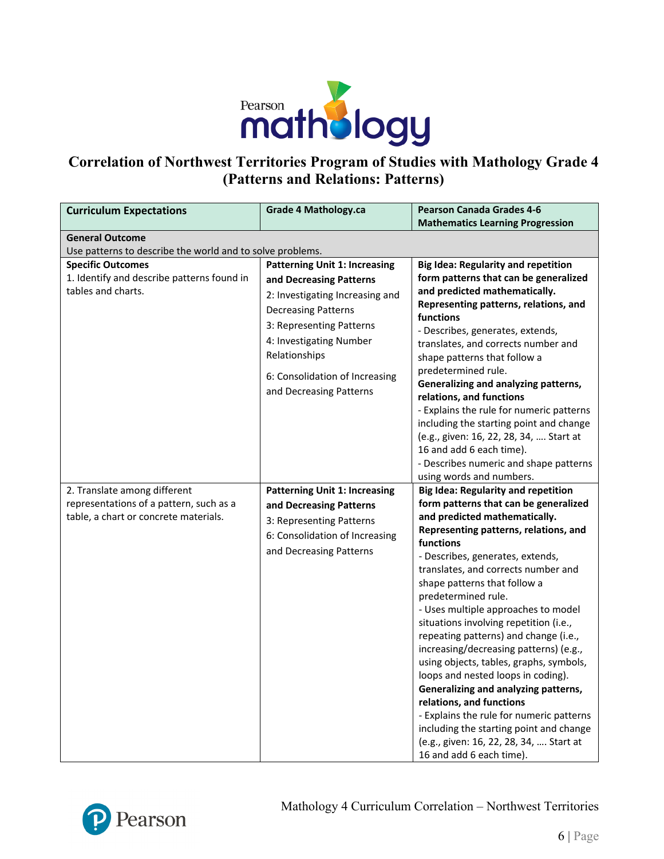

# **Correlation of Northwest Territories Program of Studies with Mathology Grade 4 (Patterns and Relations: Patterns)**

| <b>Curriculum Expectations</b>                                                                                   | <b>Grade 4 Mathology.ca</b>                                                                                                                                                                                                                                           | <b>Pearson Canada Grades 4-6</b><br><b>Mathematics Learning Progression</b>                                                                                                                                                                                                                                                                                                                                                                                                                                                                                                                                                                                                                                                                                                                         |
|------------------------------------------------------------------------------------------------------------------|-----------------------------------------------------------------------------------------------------------------------------------------------------------------------------------------------------------------------------------------------------------------------|-----------------------------------------------------------------------------------------------------------------------------------------------------------------------------------------------------------------------------------------------------------------------------------------------------------------------------------------------------------------------------------------------------------------------------------------------------------------------------------------------------------------------------------------------------------------------------------------------------------------------------------------------------------------------------------------------------------------------------------------------------------------------------------------------------|
| <b>General Outcome</b>                                                                                           |                                                                                                                                                                                                                                                                       |                                                                                                                                                                                                                                                                                                                                                                                                                                                                                                                                                                                                                                                                                                                                                                                                     |
| Use patterns to describe the world and to solve problems.                                                        |                                                                                                                                                                                                                                                                       |                                                                                                                                                                                                                                                                                                                                                                                                                                                                                                                                                                                                                                                                                                                                                                                                     |
| <b>Specific Outcomes</b><br>1. Identify and describe patterns found in<br>tables and charts.                     | <b>Patterning Unit 1: Increasing</b><br>and Decreasing Patterns<br>2: Investigating Increasing and<br><b>Decreasing Patterns</b><br>3: Representing Patterns<br>4: Investigating Number<br>Relationships<br>6: Consolidation of Increasing<br>and Decreasing Patterns | <b>Big Idea: Regularity and repetition</b><br>form patterns that can be generalized<br>and predicted mathematically.<br>Representing patterns, relations, and<br>functions<br>- Describes, generates, extends,<br>translates, and corrects number and<br>shape patterns that follow a<br>predetermined rule.<br>Generalizing and analyzing patterns,<br>relations, and functions<br>- Explains the rule for numeric patterns<br>including the starting point and change<br>(e.g., given: 16, 22, 28, 34,  Start at<br>16 and add 6 each time).<br>- Describes numeric and shape patterns<br>using words and numbers.                                                                                                                                                                                |
| 2. Translate among different<br>representations of a pattern, such as a<br>table, a chart or concrete materials. | <b>Patterning Unit 1: Increasing</b><br>and Decreasing Patterns<br>3: Representing Patterns<br>6: Consolidation of Increasing<br>and Decreasing Patterns                                                                                                              | <b>Big Idea: Regularity and repetition</b><br>form patterns that can be generalized<br>and predicted mathematically.<br>Representing patterns, relations, and<br>functions<br>- Describes, generates, extends,<br>translates, and corrects number and<br>shape patterns that follow a<br>predetermined rule.<br>- Uses multiple approaches to model<br>situations involving repetition (i.e.,<br>repeating patterns) and change (i.e.,<br>increasing/decreasing patterns) (e.g.,<br>using objects, tables, graphs, symbols,<br>loops and nested loops in coding).<br>Generalizing and analyzing patterns,<br>relations, and functions<br>- Explains the rule for numeric patterns<br>including the starting point and change<br>(e.g., given: 16, 22, 28, 34,  Start at<br>16 and add 6 each time). |

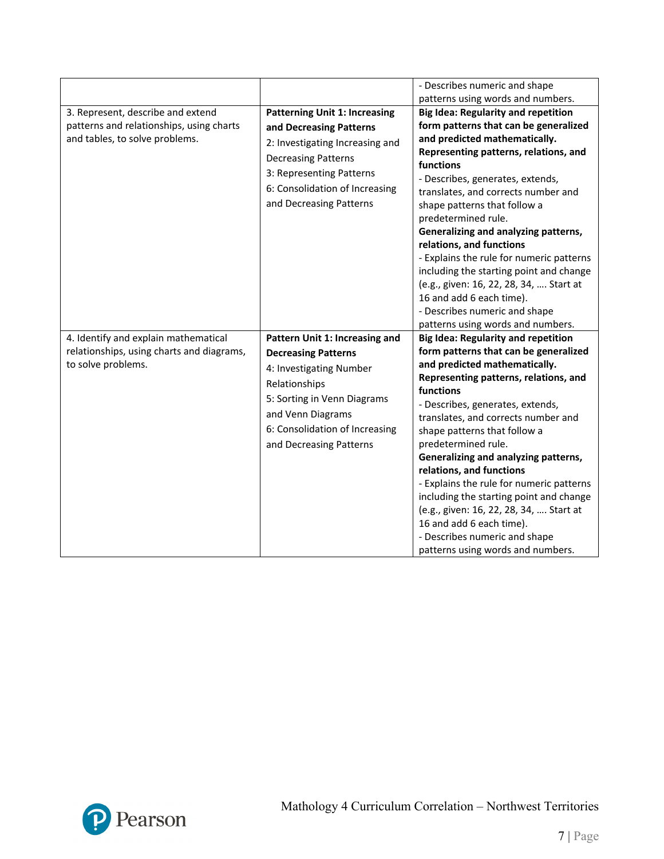|                                                                                                                 |                                                                                                                                                                                                                           | - Describes numeric and shape                                                                                                                                                                                                                                                                                                                                                                                                                                                                                                                                                                                                                             |
|-----------------------------------------------------------------------------------------------------------------|---------------------------------------------------------------------------------------------------------------------------------------------------------------------------------------------------------------------------|-----------------------------------------------------------------------------------------------------------------------------------------------------------------------------------------------------------------------------------------------------------------------------------------------------------------------------------------------------------------------------------------------------------------------------------------------------------------------------------------------------------------------------------------------------------------------------------------------------------------------------------------------------------|
| 3. Represent, describe and extend<br>patterns and relationships, using charts<br>and tables, to solve problems. | <b>Patterning Unit 1: Increasing</b><br>and Decreasing Patterns<br>2: Investigating Increasing and<br><b>Decreasing Patterns</b><br>3: Representing Patterns<br>6: Consolidation of Increasing<br>and Decreasing Patterns | patterns using words and numbers.<br><b>Big Idea: Regularity and repetition</b><br>form patterns that can be generalized<br>and predicted mathematically.<br>Representing patterns, relations, and<br>functions<br>- Describes, generates, extends,<br>translates, and corrects number and<br>shape patterns that follow a<br>predetermined rule.<br>Generalizing and analyzing patterns,<br>relations, and functions<br>- Explains the rule for numeric patterns<br>including the starting point and change<br>(e.g., given: 16, 22, 28, 34,  Start at<br>16 and add 6 each time).<br>- Describes numeric and shape<br>patterns using words and numbers. |
| 4. Identify and explain mathematical<br>relationships, using charts and diagrams,<br>to solve problems.         | Pattern Unit 1: Increasing and<br><b>Decreasing Patterns</b><br>4: Investigating Number<br>Relationships<br>5: Sorting in Venn Diagrams<br>and Venn Diagrams<br>6: Consolidation of Increasing<br>and Decreasing Patterns | <b>Big Idea: Regularity and repetition</b><br>form patterns that can be generalized<br>and predicted mathematically.<br>Representing patterns, relations, and<br>functions<br>- Describes, generates, extends,<br>translates, and corrects number and<br>shape patterns that follow a<br>predetermined rule.<br>Generalizing and analyzing patterns,<br>relations, and functions<br>- Explains the rule for numeric patterns<br>including the starting point and change<br>(e.g., given: 16, 22, 28, 34,  Start at<br>16 and add 6 each time).<br>- Describes numeric and shape<br>patterns using words and numbers.                                      |

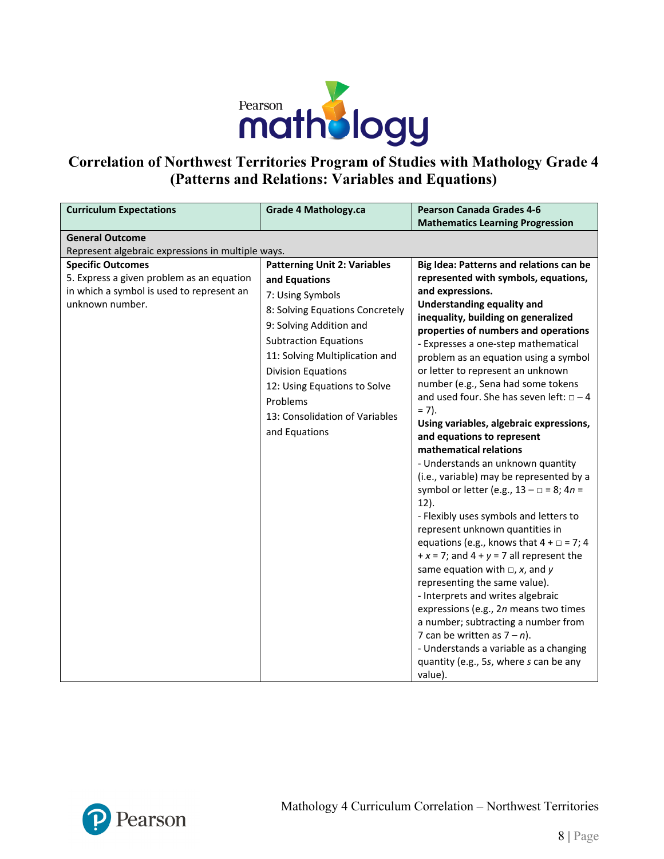

# **Correlation of Northwest Territories Program of Studies with Mathology Grade 4 (Patterns and Relations: Variables and Equations)**

| <b>Curriculum Expectations</b>                                                                                                        | <b>Grade 4 Mathology.ca</b>                                                                                                                                                                                                                                                                                                          | <b>Pearson Canada Grades 4-6</b>                                                                                                                                                                                                                                                                                                                                                                                                                                                                                                                                                                                                                                                                                                                                                                                                                                                                                                                                                                                                                                                                                                                                                                                       |
|---------------------------------------------------------------------------------------------------------------------------------------|--------------------------------------------------------------------------------------------------------------------------------------------------------------------------------------------------------------------------------------------------------------------------------------------------------------------------------------|------------------------------------------------------------------------------------------------------------------------------------------------------------------------------------------------------------------------------------------------------------------------------------------------------------------------------------------------------------------------------------------------------------------------------------------------------------------------------------------------------------------------------------------------------------------------------------------------------------------------------------------------------------------------------------------------------------------------------------------------------------------------------------------------------------------------------------------------------------------------------------------------------------------------------------------------------------------------------------------------------------------------------------------------------------------------------------------------------------------------------------------------------------------------------------------------------------------------|
|                                                                                                                                       |                                                                                                                                                                                                                                                                                                                                      | <b>Mathematics Learning Progression</b>                                                                                                                                                                                                                                                                                                                                                                                                                                                                                                                                                                                                                                                                                                                                                                                                                                                                                                                                                                                                                                                                                                                                                                                |
| <b>General Outcome</b>                                                                                                                |                                                                                                                                                                                                                                                                                                                                      |                                                                                                                                                                                                                                                                                                                                                                                                                                                                                                                                                                                                                                                                                                                                                                                                                                                                                                                                                                                                                                                                                                                                                                                                                        |
| Represent algebraic expressions in multiple ways.                                                                                     |                                                                                                                                                                                                                                                                                                                                      |                                                                                                                                                                                                                                                                                                                                                                                                                                                                                                                                                                                                                                                                                                                                                                                                                                                                                                                                                                                                                                                                                                                                                                                                                        |
| <b>Specific Outcomes</b><br>5. Express a given problem as an equation<br>in which a symbol is used to represent an<br>unknown number. | <b>Patterning Unit 2: Variables</b><br>and Equations<br>7: Using Symbols<br>8: Solving Equations Concretely<br>9: Solving Addition and<br><b>Subtraction Equations</b><br>11: Solving Multiplication and<br><b>Division Equations</b><br>12: Using Equations to Solve<br>Problems<br>13: Consolidation of Variables<br>and Equations | Big Idea: Patterns and relations can be<br>represented with symbols, equations,<br>and expressions.<br><b>Understanding equality and</b><br>inequality, building on generalized<br>properties of numbers and operations<br>- Expresses a one-step mathematical<br>problem as an equation using a symbol<br>or letter to represent an unknown<br>number (e.g., Sena had some tokens<br>and used four. She has seven left: $\Box - 4$<br>$= 7$ ).<br>Using variables, algebraic expressions,<br>and equations to represent<br>mathematical relations<br>- Understands an unknown quantity<br>(i.e., variable) may be represented by a<br>symbol or letter (e.g., $13 - \square = 8$ ; $4n =$<br>$12$ ).<br>- Flexibly uses symbols and letters to<br>represent unknown quantities in<br>equations (e.g., knows that $4 + \square = 7$ ; 4<br>$+x = 7$ ; and $4 + y = 7$ all represent the<br>same equation with $\Box$ , x, and y<br>representing the same value).<br>- Interprets and writes algebraic<br>expressions (e.g., 2n means two times<br>a number; subtracting a number from<br>7 can be written as $7 - n$ ).<br>- Understands a variable as a changing<br>quantity (e.g., 5s, where s can be any<br>value). |

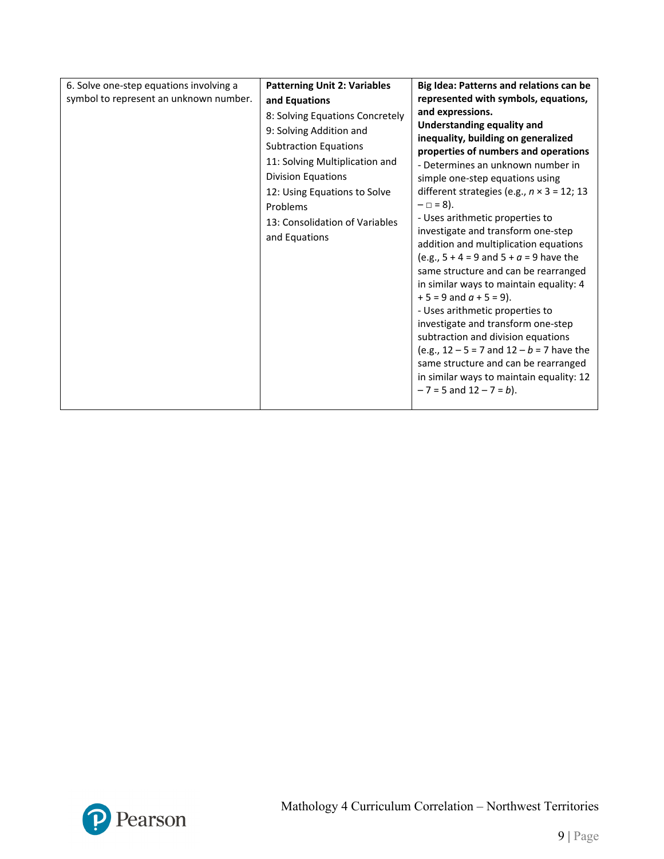| 6. Solve one-step equations involving a<br>symbol to represent an unknown number. | <b>Patterning Unit 2: Variables</b><br>and Equations<br>8: Solving Equations Concretely<br>9: Solving Addition and<br><b>Subtraction Equations</b><br>11: Solving Multiplication and<br><b>Division Equations</b><br>12: Using Equations to Solve<br>Problems<br>13: Consolidation of Variables<br>and Equations | Big Idea: Patterns and relations can be<br>represented with symbols, equations,<br>and expressions.<br><b>Understanding equality and</b><br>inequality, building on generalized<br>properties of numbers and operations<br>- Determines an unknown number in<br>simple one-step equations using<br>different strategies (e.g., $n \times 3 = 12$ ; 13<br>$- \Box = 8$ ).<br>- Uses arithmetic properties to<br>investigate and transform one-step<br>addition and multiplication equations<br>(e.g., $5 + 4 = 9$ and $5 + a = 9$ have the<br>same structure and can be rearranged<br>in similar ways to maintain equality: 4<br>$+5 = 9$ and $a + 5 = 9$ ).<br>- Uses arithmetic properties to<br>investigate and transform one-step<br>subtraction and division equations<br>(e.g., $12 - 5 = 7$ and $12 - b = 7$ have the<br>same structure and can be rearranged<br>in similar ways to maintain equality: 12<br>$-7 = 5$ and $12 - 7 = b$ ). |
|-----------------------------------------------------------------------------------|------------------------------------------------------------------------------------------------------------------------------------------------------------------------------------------------------------------------------------------------------------------------------------------------------------------|-------------------------------------------------------------------------------------------------------------------------------------------------------------------------------------------------------------------------------------------------------------------------------------------------------------------------------------------------------------------------------------------------------------------------------------------------------------------------------------------------------------------------------------------------------------------------------------------------------------------------------------------------------------------------------------------------------------------------------------------------------------------------------------------------------------------------------------------------------------------------------------------------------------------------------------------------|
|-----------------------------------------------------------------------------------|------------------------------------------------------------------------------------------------------------------------------------------------------------------------------------------------------------------------------------------------------------------------------------------------------------------|-------------------------------------------------------------------------------------------------------------------------------------------------------------------------------------------------------------------------------------------------------------------------------------------------------------------------------------------------------------------------------------------------------------------------------------------------------------------------------------------------------------------------------------------------------------------------------------------------------------------------------------------------------------------------------------------------------------------------------------------------------------------------------------------------------------------------------------------------------------------------------------------------------------------------------------------------|

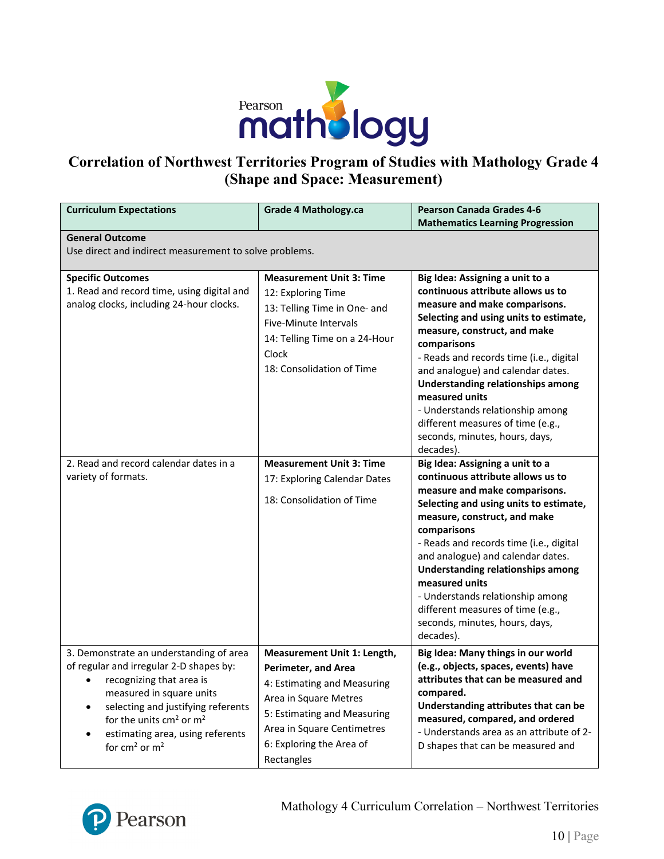

# **Correlation of Northwest Territories Program of Studies with Mathology Grade 4 (Shape and Space: Measurement)**

| <b>Curriculum Expectations</b>                                                                                                                                                                                                                                                        | <b>Grade 4 Mathology.ca</b>                                                                                                                                                                                              | <b>Pearson Canada Grades 4-6</b><br><b>Mathematics Learning Progression</b>                                                                                                                                                                                                                                                                                                                                                                                          |  |
|---------------------------------------------------------------------------------------------------------------------------------------------------------------------------------------------------------------------------------------------------------------------------------------|--------------------------------------------------------------------------------------------------------------------------------------------------------------------------------------------------------------------------|----------------------------------------------------------------------------------------------------------------------------------------------------------------------------------------------------------------------------------------------------------------------------------------------------------------------------------------------------------------------------------------------------------------------------------------------------------------------|--|
| <b>General Outcome</b><br>Use direct and indirect measurement to solve problems.                                                                                                                                                                                                      |                                                                                                                                                                                                                          |                                                                                                                                                                                                                                                                                                                                                                                                                                                                      |  |
| <b>Specific Outcomes</b><br>1. Read and record time, using digital and<br>analog clocks, including 24-hour clocks.                                                                                                                                                                    | <b>Measurement Unit 3: Time</b><br>12: Exploring Time<br>13: Telling Time in One- and<br>Five-Minute Intervals<br>14: Telling Time on a 24-Hour<br>Clock<br>18: Consolidation of Time                                    | Big Idea: Assigning a unit to a<br>continuous attribute allows us to<br>measure and make comparisons.<br>Selecting and using units to estimate,<br>measure, construct, and make<br>comparisons<br>- Reads and records time (i.e., digital<br>and analogue) and calendar dates.<br><b>Understanding relationships among</b><br>measured units<br>- Understands relationship among<br>different measures of time (e.g.,<br>seconds, minutes, hours, days,<br>decades). |  |
| 2. Read and record calendar dates in a<br>variety of formats.                                                                                                                                                                                                                         | <b>Measurement Unit 3: Time</b><br>17: Exploring Calendar Dates<br>18: Consolidation of Time                                                                                                                             | Big Idea: Assigning a unit to a<br>continuous attribute allows us to<br>measure and make comparisons.<br>Selecting and using units to estimate,<br>measure, construct, and make<br>comparisons<br>- Reads and records time (i.e., digital<br>and analogue) and calendar dates.<br><b>Understanding relationships among</b><br>measured units<br>- Understands relationship among<br>different measures of time (e.g.,<br>seconds, minutes, hours, days,<br>decades). |  |
| 3. Demonstrate an understanding of area<br>of regular and irregular 2-D shapes by:<br>recognizing that area is<br>$\bullet$<br>measured in square units<br>selecting and justifying referents<br>for the units $cm2$ or $m2$<br>estimating area, using referents<br>for $cm2$ or $m2$ | Measurement Unit 1: Length,<br><b>Perimeter, and Area</b><br>4: Estimating and Measuring<br>Area in Square Metres<br>5: Estimating and Measuring<br>Area in Square Centimetres<br>6: Exploring the Area of<br>Rectangles | Big Idea: Many things in our world<br>(e.g., objects, spaces, events) have<br>attributes that can be measured and<br>compared.<br>Understanding attributes that can be<br>measured, compared, and ordered<br>- Understands area as an attribute of 2-<br>D shapes that can be measured and                                                                                                                                                                           |  |

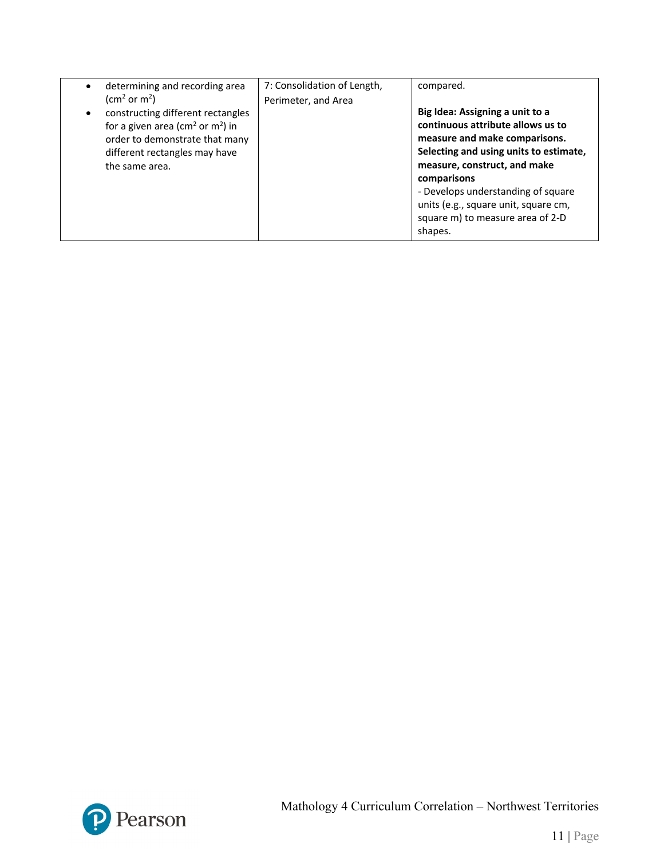| determining and recording area<br>$\bullet$                                                                                                                                                                             | 7: Consolidation of Length, | compared.                                                                                                                                                                                                                                                                                                                   |
|-------------------------------------------------------------------------------------------------------------------------------------------------------------------------------------------------------------------------|-----------------------------|-----------------------------------------------------------------------------------------------------------------------------------------------------------------------------------------------------------------------------------------------------------------------------------------------------------------------------|
| (cm <sup>2</sup> or m <sup>2</sup> )<br>constructing different rectangles<br>for a given area ( $\text{cm}^2$ or $\text{m}^2$ ) in<br>order to demonstrate that many<br>different rectangles may have<br>the same area. | Perimeter, and Area         | Big Idea: Assigning a unit to a<br>continuous attribute allows us to<br>measure and make comparisons.<br>Selecting and using units to estimate,<br>measure, construct, and make<br>comparisons<br>- Develops understanding of square<br>units (e.g., square unit, square cm,<br>square m) to measure area of 2-D<br>shapes. |

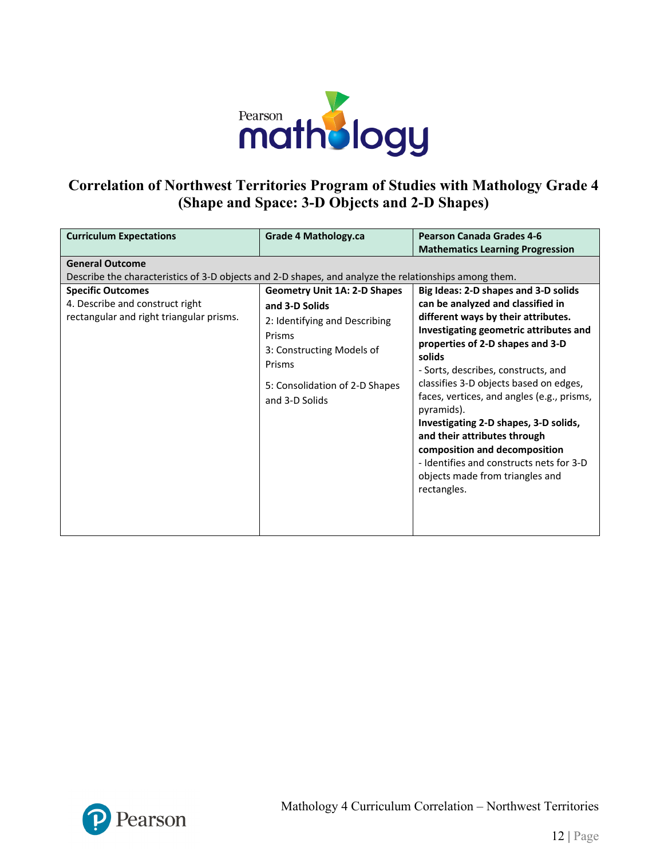

# **Correlation of Northwest Territories Program of Studies with Mathology Grade 4 (Shape and Space: 3-D Objects and 2-D Shapes)**

| <b>Curriculum Expectations</b>                                                                                                                                                                                                             | Grade 4 Mathology.ca                                                                                                                                                                        | <b>Pearson Canada Grades 4-6</b><br><b>Mathematics Learning Progression</b>                                                                                                                                                                                                                                                                                                                    |
|--------------------------------------------------------------------------------------------------------------------------------------------------------------------------------------------------------------------------------------------|---------------------------------------------------------------------------------------------------------------------------------------------------------------------------------------------|------------------------------------------------------------------------------------------------------------------------------------------------------------------------------------------------------------------------------------------------------------------------------------------------------------------------------------------------------------------------------------------------|
| <b>General Outcome</b><br>Describe the characteristics of 3-D objects and 2-D shapes, and analyze the relationships among them.<br><b>Specific Outcomes</b><br>4. Describe and construct right<br>rectangular and right triangular prisms. | <b>Geometry Unit 1A: 2-D Shapes</b><br>and 3-D Solids<br>2: Identifying and Describing<br>Prisms<br>3: Constructing Models of<br>Prisms<br>5: Consolidation of 2-D Shapes<br>and 3-D Solids | Big Ideas: 2-D shapes and 3-D solids<br>can be analyzed and classified in<br>different ways by their attributes.<br>Investigating geometric attributes and<br>properties of 2-D shapes and 3-D<br>solids<br>- Sorts, describes, constructs, and<br>classifies 3-D objects based on edges,<br>faces, vertices, and angles (e.g., prisms,<br>pyramids).<br>Investigating 2-D shapes, 3-D solids, |
|                                                                                                                                                                                                                                            |                                                                                                                                                                                             | and their attributes through<br>composition and decomposition<br>- Identifies and constructs nets for 3-D<br>objects made from triangles and<br>rectangles.                                                                                                                                                                                                                                    |

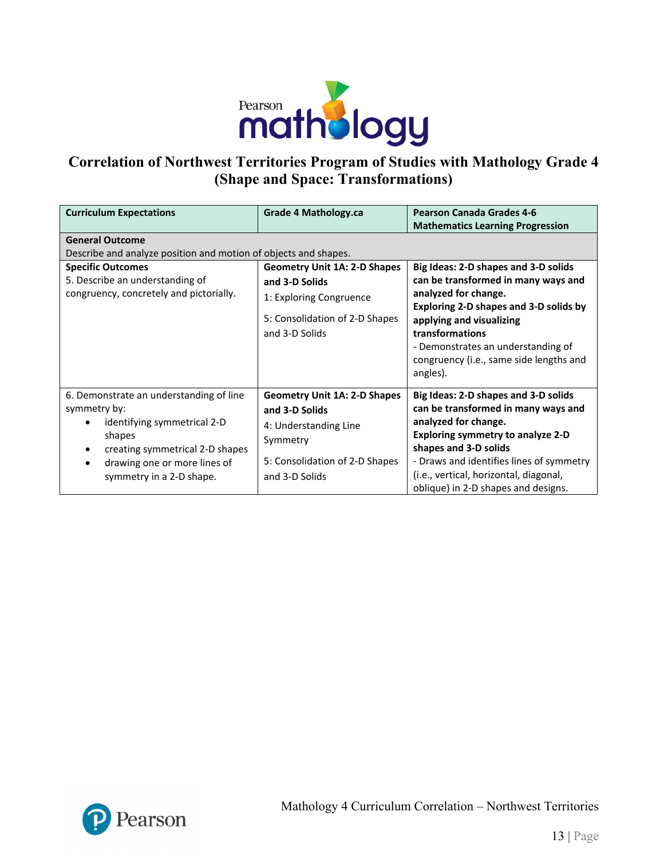

# **Correlation of Northwest Territories Program of Studies with Mathology Grade 4 (Shape and Space: Transformations)**

| <b>Curriculum Expectations</b>                                                                                                                                                                               | Grade 4 Mathology.ca                                                                                                                           | <b>Pearson Canada Grades 4-6</b><br><b>Mathematics Learning Progression</b>                                                                                                                                                                                                                           |  |
|--------------------------------------------------------------------------------------------------------------------------------------------------------------------------------------------------------------|------------------------------------------------------------------------------------------------------------------------------------------------|-------------------------------------------------------------------------------------------------------------------------------------------------------------------------------------------------------------------------------------------------------------------------------------------------------|--|
| <b>General Outcome</b><br>Describe and analyze position and motion of objects and shapes.                                                                                                                    |                                                                                                                                                |                                                                                                                                                                                                                                                                                                       |  |
| <b>Specific Outcomes</b><br>5. Describe an understanding of<br>congruency, concretely and pictorially.                                                                                                       | <b>Geometry Unit 1A: 2-D Shapes</b><br>and 3-D Solids<br>1: Exploring Congruence<br>5: Consolidation of 2-D Shapes<br>and 3-D Solids           | Big Ideas: 2-D shapes and 3-D solids<br>can be transformed in many ways and<br>analyzed for change.<br><b>Exploring 2-D shapes and 3-D solids by</b><br>applying and visualizing<br>transformations<br>- Demonstrates an understanding of<br>congruency (i.e., same side lengths and<br>angles).      |  |
| 6. Demonstrate an understanding of line<br>symmetry by:<br>identifying symmetrical 2-D<br>shapes<br>creating symmetrical 2-D shapes<br>drawing one or more lines of<br>$\bullet$<br>symmetry in a 2-D shape. | <b>Geometry Unit 1A: 2-D Shapes</b><br>and 3-D Solids<br>4: Understanding Line<br>Symmetry<br>5: Consolidation of 2-D Shapes<br>and 3-D Solids | Big Ideas: 2-D shapes and 3-D solids<br>can be transformed in many ways and<br>analyzed for change.<br><b>Exploring symmetry to analyze 2-D</b><br>shapes and 3-D solids<br>- Draws and identifies lines of symmetry<br>(i.e., vertical, horizontal, diagonal,<br>oblique) in 2-D shapes and designs. |  |